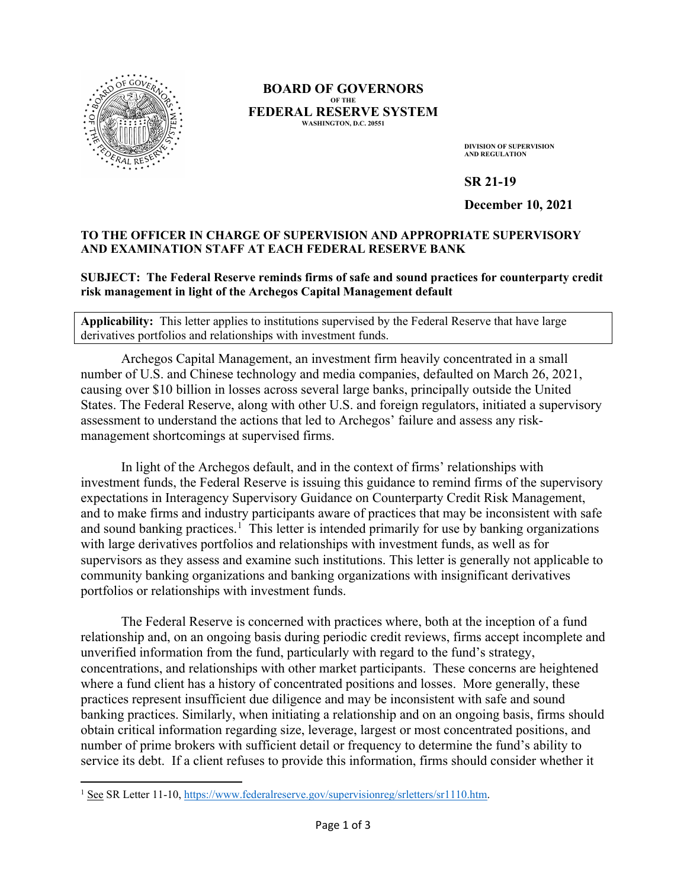

## **BOARD OF GOVERNORS OF THE FEDERAL RESERVE SYSTEM WASHINGTON, D.C. 20551**

**DIVISION OF SUPERVISION AND REGULATION**

**SR 21-19**

**December 10, 2021**

## **TO THE OFFICER IN CHARGE OF SUPERVISION AND APPROPRIATE SUPERVISORY AND EXAMINATION STAFF AT EACH FEDERAL RESERVE BANK**

## **SUBJECT: The Federal Reserve reminds firms of safe and sound practices for counterparty credit risk management in light of the Archegos Capital Management default**

**Applicability:** This letter applies to institutions supervised by the Federal Reserve that have large derivatives portfolios and relationships with investment funds.

Archegos Capital Management, an investment firm heavily concentrated in a small number of U.S. and Chinese technology and media companies, defaulted on March 26, 2021, causing over \$10 billion in losses across several large banks, principally outside the United States. The Federal Reserve, along with other U.S. and foreign regulators, initiated a supervisory assessment to understand the actions that led to Archegos' failure and assess any riskmanagement shortcomings at supervised firms.

In light of the Archegos default, and in the context of firms' relationships with investment funds, the Federal Reserve is issuing this guidance to remind firms of the supervisory expectations in Interagency Supervisory Guidance on Counterparty Credit Risk Management, and to make firms and industry participants aware of practices that may be inconsistent with safe and sound banking practices.<sup>[1](#page-0-0)</sup> This letter is intended primarily for use by banking organizations with large derivatives portfolios and relationships with investment funds, as well as for supervisors as they assess and examine such institutions. This letter is generally not applicable to community banking organizations and banking organizations with insignificant derivatives portfolios or relationships with investment funds.

The Federal Reserve is concerned with practices where, both at the inception of a fund relationship and, on an ongoing basis during periodic credit reviews, firms accept incomplete and unverified information from the fund, particularly with regard to the fund's strategy, concentrations, and relationships with other market participants. These concerns are heightened where a fund client has a history of concentrated positions and losses. More generally, these practices represent insufficient due diligence and may be inconsistent with safe and sound banking practices. Similarly, when initiating a relationship and on an ongoing basis, firms should obtain critical information regarding size, leverage, largest or most concentrated positions, and number of prime brokers with sufficient detail or frequency to determine the fund's ability to service its debt. If a client refuses to provide this information, firms should consider whether it

<span id="page-0-0"></span><sup>&</sup>lt;sup>1</sup> See SR Letter 11-10, https://www.federalreserve.gov/supervisionreg/srletters/sr1110.htm.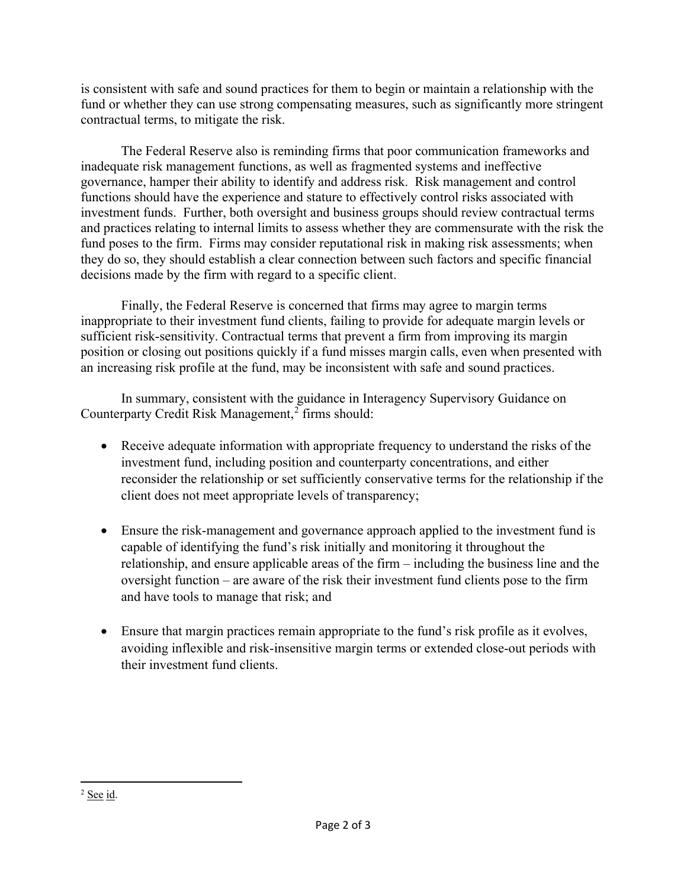is consistent with safe and sound practices for them to begin or maintain a relationship with the fund or whether they can use strong compensating measures, such as significantly more stringent contractual terms, to mitigate the risk.

The Federal Reserve also is reminding firms that poor communication frameworks and inadequate risk management functions, as well as fragmented systems and ineffective governance, hamper their ability to identify and address risk. Risk management and control functions should have the experience and stature to effectively control risks associated with investment funds. Further, both oversight and business groups should review contractual terms and practices relating to internal limits to assess whether they are commensurate with the risk the fund poses to the firm. Firms may consider reputational risk in making risk assessments; when they do so, they should establish a clear connection between such factors and specific financial decisions made by the firm with regard to a specific client.

Finally, the Federal Reserve is concerned that firms may agree to margin terms inappropriate to their investment fund clients, failing to provide for adequate margin levels or sufficient risk-sensitivity. Contractual terms that prevent a firm from improving its margin position or closing out positions quickly if a fund misses margin calls, even when presented with an increasing risk profile at the fund, may be inconsistent with safe and sound practices.

In summary, consistent with the guidance in Interagency Supervisory Guidance on Counterparty Credit Risk Management,<sup>[2](#page-1-0)</sup> firms should:

- Receive adequate information with appropriate frequency to understand the risks of the investment fund, including position and counterparty concentrations, and either reconsider the relationship or set sufficiently conservative terms for the relationship if the client does not meet appropriate levels of transparency;
- Ensure the risk-management and governance approach applied to the investment fund is capable of identifying the fund's risk initially and monitoring it throughout the relationship, and ensure applicable areas of the firm – including the business line and the oversight function – are aware of the risk their investment fund clients pose to the firm and have tools to manage that risk; and
- Ensure that margin practices remain appropriate to the fund's risk profile as it evolves, avoiding inflexible and risk-insensitive margin terms or extended close-out periods with their investment fund clients.

<span id="page-1-0"></span><sup>2</sup> See id.